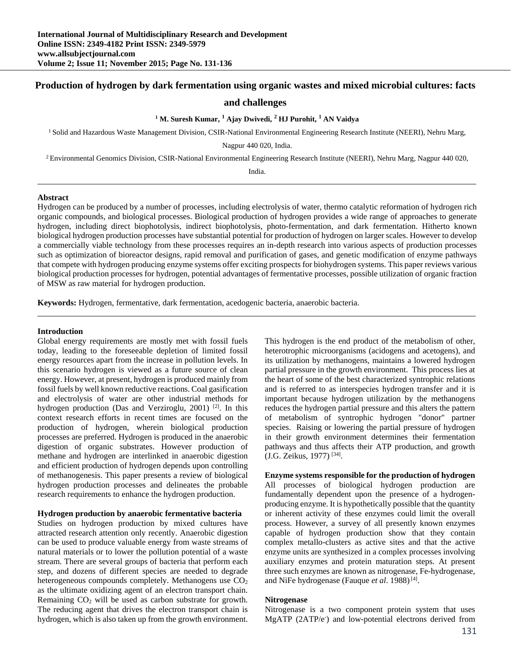# **Production of hydrogen by dark fermentation using organic wastes and mixed microbial cultures: facts**

# **and challenges**

#### **1 M. Suresh Kumar, <sup>1</sup> Ajay Dwivedi, <sup>2</sup> HJ Purohit, <sup>1</sup> AN Vaidya**

<sup>1</sup> Solid and Hazardous Waste Management Division, CSIR-National Environmental Engineering Research Institute (NEERI), Nehru Marg,

Nagpur 440 020, India.

 $2$  Environmental Genomics Division, CSIR-National Environmental Engineering Research Institute (NEERI), Nehru Marg, Nagpur 440 020,

India.

### **Abstract**

Hydrogen can be produced by a number of processes, including electrolysis of water, thermo catalytic reformation of hydrogen rich organic compounds, and biological processes. Biological production of hydrogen provides a wide range of approaches to generate hydrogen, including direct biophotolysis, indirect biophotolysis, photo-fermentation, and dark fermentation. Hitherto known biological hydrogen production processes have substantial potential for production of hydrogen on larger scales. However to develop a commercially viable technology from these processes requires an in-depth research into various aspects of production processes such as optimization of bioreactor designs, rapid removal and purification of gases, and genetic modification of enzyme pathways that compete with hydrogen producing enzyme systems offer exciting prospects for biohydrogen systems. This paper reviews various biological production processes for hydrogen, potential advantages of fermentative processes, possible utilization of organic fraction of MSW as raw material for hydrogen production.

**Keywords:** Hydrogen, fermentative, dark fermentation, acedogenic bacteria, anaerobic bacteria.

#### **Introduction**

Global energy requirements are mostly met with fossil fuels today, leading to the foreseeable depletion of limited fossil energy resources apart from the increase in pollution levels. In this scenario hydrogen is viewed as a future source of clean energy. However, at present, hydrogen is produced mainly from fossil fuels by well known reductive reactions. Coal gasification and electrolysis of water are other industrial methods for hydrogen production (Das and Verziroglu, 2001)<sup>[2]</sup>. In this context research efforts in recent times are focused on the production of hydrogen, wherein biological production processes are preferred. Hydrogen is produced in the anaerobic digestion of organic substrates. However production of methane and hydrogen are interlinked in anaerobic digestion and efficient production of hydrogen depends upon controlling of methanogenesis. This paper presents a review of biological hydrogen production processes and delineates the probable research requirements to enhance the hydrogen production.

### **Hydrogen production by anaerobic fermentative bacteria**

Studies on hydrogen production by mixed cultures have attracted research attention only recently. Anaerobic digestion can be used to produce valuable energy from waste streams of natural materials or to lower the pollution potential of a waste stream. There are several groups of bacteria that perform each step, and dozens of different species are needed to degrade heterogeneous compounds completely. Methanogens use  $CO<sub>2</sub>$ as the ultimate oxidizing agent of an electron transport chain. Remaining  $CO<sub>2</sub>$  will be used as carbon substrate for growth. The reducing agent that drives the electron transport chain is hydrogen, which is also taken up from the growth environment.

This hydrogen is the end product of the metabolism of other, heterotrophic microorganisms (acidogens and acetogens), and its utilization by methanogens, maintains a lowered hydrogen partial pressure in the growth environment. This process lies at the heart of some of the best characterized syntrophic relations and is referred to as interspecies hydrogen transfer and it is important because hydrogen utilization by the methanogens reduces the hydrogen partial pressure and this alters the pattern of metabolism of syntrophic hydrogen "donor" partner species. Raising or lowering the partial pressure of hydrogen in their growth environment determines their fermentation pathways and thus affects their ATP production, and growth (J.G. Zeikus, 1977) [34].

#### **Enzyme systems responsible for the production of hydrogen**

All processes of biological hydrogen production are fundamentally dependent upon the presence of a hydrogenproducing enzyme. It is hypothetically possible that the quantity or inherent activity of these enzymes could limit the overall process. However, a survey of all presently known enzymes capable of hydrogen production show that they contain complex metallo-clusters as active sites and that the active enzyme units are synthesized in a complex processes involving auxiliary enzymes and protein maturation steps. At present three such enzymes are known as nitrogenase, Fe-hydrogenase, and NiFe hydrogenase (Fauque *et al*. 1988) [4].

#### **Nitrogenase**

Nitrogenase is a two component protein system that uses MgATP (2ATP/e<sup>-</sup>) and low-potential electrons derived from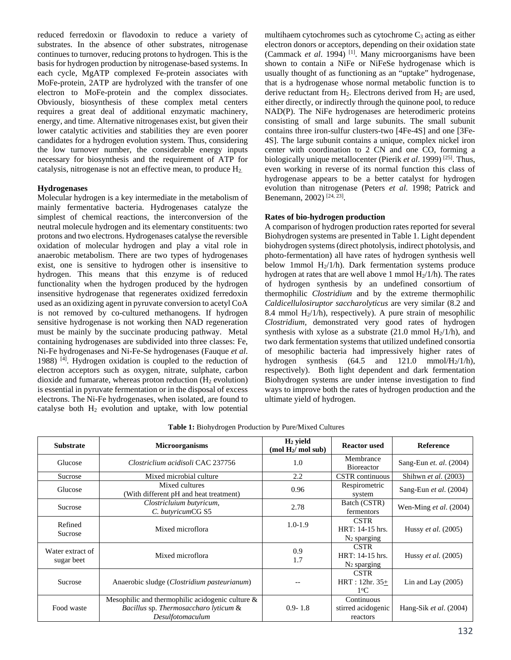reduced ferredoxin or flavodoxin to reduce a variety of substrates. In the absence of other substrates, nitrogenase continues to turnover, reducing protons to hydrogen. This is the basis for hydrogen production by nitrogenase-based systems. In each cycle, MgATP complexed Fe-protein associates with MoFe-protein, 2ATP are hydrolyzed with the transfer of one electron to MoFe-protein and the complex dissociates. Obviously, biosynthesis of these complex metal centers requires a great deal of additional enzymatic machinery, energy, and time. Alternative nitrogenases exist, but given their lower catalytic activities and stabilities they are even poorer candidates for a hydrogen evolution system. Thus, considering the low turnover number, the considerable energy inputs necessary for biosynthesis and the requirement of ATP for catalysis, nitrogenase is not an effective mean, to produce H2.

### **Hydrogenases**

Molecular hydrogen is a key intermediate in the metabolism of mainly fermentative bacteria. Hydrogenases catalyze the simplest of chemical reactions, the interconversion of the neutral molecule hydrogen and its elementary constituents: two protons and two electrons. Hydrogenases catalyse the reversible oxidation of molecular hydrogen and play a vital role in anaerobic metabolism. There are two types of hydrogenases exist, one is sensitive to hydrogen other is insensitive to hydrogen. This means that this enzyme is of reduced functionality when the hydrogen produced by the hydrogen insensitive hydrogenase that regenerates oxidized ferredoxin used as an oxidizing agent in pyruvate conversion to acetyl CoA is not removed by co-cultured methanogens. If hydrogen sensitive hydrogenase is not working then NAD regeneration must be mainly by the succinate producing pathway. Metal containing hydrogenases are subdivided into three classes: Fe, Ni-Fe hydrogenases and Ni-Fe-Se hydrogenases (Fauque *et al*. 1988) [4]. Hydrogen oxidation is coupled to the reduction of electron acceptors such as oxygen, nitrate, sulphate, carbon dioxide and fumarate, whereas proton reduction  $(H<sub>2</sub>$  evolution) is essential in pyruvate fermentation or in the disposal of excess electrons. The Ni-Fe hydrogenases, when isolated, are found to catalyse both  $H_2$  evolution and uptake, with low potential

multihaem cytochromes such as cytochrome  $C_3$  acting as either electron donors or acceptors, depending on their oxidation state (Cammack *et al*. 1994) [1]. Many microorganisms have been shown to contain a NiFe or NiFeSe hydrogenase which is usually thought of as functioning as an "uptake" hydrogenase, that is a hydrogenase whose normal metabolic function is to derive reductant from  $H_2$ . Electrons derived from  $H_2$  are used, either directly, or indirectly through the quinone pool, to reduce NAD(P). The NiFe hydrogenases are heterodimeric proteins consisting of small and large subunits. The small subunit contains three iron-sulfur clusters-two [4Fe-4S] and one [3Fe-4S]. The large subunit contains a unique, complex nickel iron center with coordination to 2 CN and one CO, forming a biologically unique metallocenter (Pierik *et al*. 1999) [25]. Thus, even working in reverse of its normal function this class of hydrogenase appears to be a better catalyst for hydrogen evolution than nitrogenase (Peters *et al*. 1998; Patrick and Benemann, 2002)<sup>[24, 23]</sup>.

### **Rates of bio-hydrogen production**

A comparison of hydrogen production rates reported for several Biohydrogen systems are presented in Table 1. Light dependent biohydrogen systems (direct photolysis, indirect photolysis, and photo-fermentation) all have rates of hydrogen synthesis well below 1mmol  $H_2/1/h$ ). Dark fermentation systems produce hydrogen at rates that are well above 1 mmol  $H_2/1/h$ ). The rates of hydrogen synthesis by an undefined consortium of thermophilic *Clostridium* and by the extreme thermophilic *Caldicellulosiruptor saccharolyticus* are very similar (8.2 and 8.4 mmol  $H<sub>2</sub>/1/h$ , respectively). A pure strain of mesophilic *Clostridium*, demonstrated very good rates of hydrogen synthesis with xylose as a substrate  $(21.0 \text{ mmol H}_2/1/h)$ , and two dark fermentation systems that utilized undefined consortia of mesophilic bacteria had impressively higher rates of hydrogen synthesis  $(64.5 \text{ and } 121.0 \text{ mmol/H}_2/1/h)$ , respectively). Both light dependent and dark fermentation Biohydrogen systems are under intense investigation to find ways to improve both the rates of hydrogen production and the ultimate yield of hydrogen.

| <b>Substrate</b>               | <b>Microorganisms</b>                                                                                            | $H_2$ yield<br>(mod H <sub>2</sub> /mol sub) | <b>Reactor used</b>                              | <b>Reference</b>                |
|--------------------------------|------------------------------------------------------------------------------------------------------------------|----------------------------------------------|--------------------------------------------------|---------------------------------|
| Glucose                        | Clostriclium acidisoli CAC 237756                                                                                | 1.0                                          | Membrance<br>Bioreactor                          | Sang-Eun et. al. (2004)         |
| Sucrose                        | Mixed microbial culture                                                                                          | 2.2                                          | CSTR continuous                                  | Shihwn et al. (2003)            |
| Glucose                        | Mixed cultures<br>(With different pH and heat treatment)                                                         | 0.96                                         | Respirometric<br>system                          | Sang-Eun et al. (2004)          |
| Sucrose                        | Clostricluium butyricum,<br>C. butyricumCG S5                                                                    | 2.78                                         | Batch (CSTR)<br>fermentors                       | Wen-Ming <i>et al.</i> $(2004)$ |
| Refined<br>Sucrose             | Mixed microflora                                                                                                 | $1.0 - 1.9$                                  | <b>CSTR</b><br>HRT: 14-15 hrs.<br>$N_2$ sparging | Hussy et al. $(2005)$           |
| Water extract of<br>sugar beet | Mixed microflora                                                                                                 | 0.9<br>1.7                                   | <b>CSTR</b><br>HRT: 14-15 hrs.<br>$N_2$ sparging | Hussy et al. (2005)             |
| Sucrose                        | Anaerobic sludge ( <i>Clostridium pasteurianum</i> )                                                             |                                              | <b>CSTR</b><br>$HRT: 12hr. 35+$<br>$1^{\circ}C$  | Lin and Lay $(2005)$            |
| Food waste                     | Mesophilic and thermophilic acidogenic culture $\&$<br>Bacillus sp. Thermosaccharo lyticum &<br>Desulfotomaculum | $0.9 - 1.8$                                  | Continuous<br>stirred acidogenic<br>reactors     | Hang-Sik et al. (2004)          |

**Table 1:** Biohydrogen Production by Pure/Mixed Cultures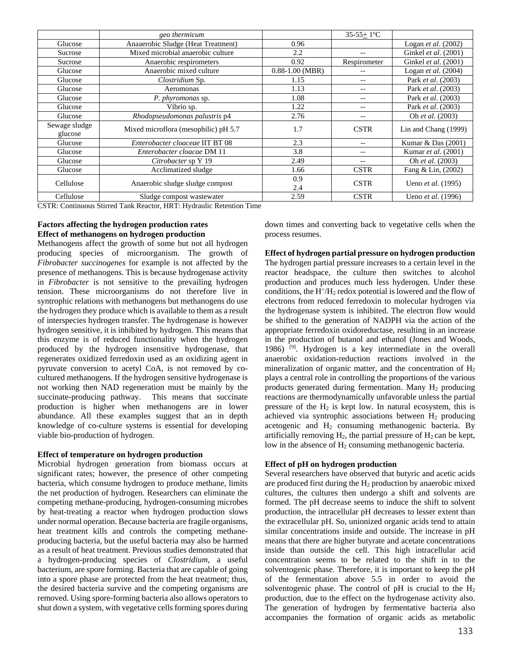|               | geo thermicum                        |                     | $35-55+1$ °C |                           |
|---------------|--------------------------------------|---------------------|--------------|---------------------------|
| Glucose       | Anaaerobic Sludge (Heat Treatment)   | 0.96                |              | Logan et al. $(2002)$     |
| Sucrose       | Mixed microbial anaerobic culture    | 2.2                 |              | Ginkel et al. (2001)      |
| Sucrose       | Anaerobic respirometers              | 0.92                | Respirometer | Ginkel et al. (2001)      |
| Glucose       | Anaerobic mixed culture              | $0.88 - 1.00$ (MBR) |              | Logan et al. (2004)       |
| Glucose       | Clostridium Sp.                      | 1.15                | $- -$        | Park et al. (2003)        |
| Glucose       | Aeromonas                            | 1.13                | $- -$        | Park et al. (2003)        |
| Glucose       | P. phyromonas sp.                    | 1.08                | $ -$         | Park et al. (2003)        |
| Glucose       | Vibrio sp.                           | 1.22                | $- -$        | Park et al. (2003)        |
| Glucose       | Rhodopseudomonas palustris p4        | 2.76                | $- -$        | Oh et al. (2003)          |
| Sewage sludge | Mixed microflora (mesophilic) pH 5.7 | 1.7                 | <b>CSTR</b>  | Lin and Chang (1999)      |
| glucose       |                                      |                     |              |                           |
| Glucose       | Enterobacter cloaceae IIT BT 08      | 2.3                 |              | Kumar & Das (2001)        |
| Glucose       | Enterobacter cloacae DM 11           | 3.8                 |              | Kumar et al. (2001)       |
| Glucose       | Citrobacter sp Y 19                  | 2.49                |              | Oh et al. (2003)          |
| Glucose       | Acclimatized sludge                  | 1.66                | <b>CSTR</b>  | Fang & Lin, (2002)        |
| Cellulose     | Anaerobic sludge sludge compost      | 0.9                 | <b>CSTR</b>  | Ueno et al. (1995)        |
|               |                                      | 2.4                 |              |                           |
| Cellulose     | Sludge compost wastewater            | 2.59                | <b>CSTR</b>  | Ueno <i>et al.</i> (1996) |

CSTR: Continuous Stirred Tank Reactor, HRT: Hydraulic Retention Time

# **Factors affecting the hydrogen production rates Effect of methanogens on hydrogen production**

Methanogens affect the growth of some but not all hydrogen producing species of microorganism. The growth of *Fibrobacter succinogenes* for example is not affected by the presence of methanogens. This is because hydrogenase activity in *Fibrobacter* is not sensitive to the prevailing hydrogen tension. These microorganisms do not therefore live in syntrophic relations with methanogens but methanogens do use the hydrogen they produce which is available to them as a result of interspecies hydrogen transfer. The hydrogenase is however hydrogen sensitive, it is inhibited by hydrogen. This means that this enzyme is of reduced functionality when the hydrogen produced by the hydrogen insensitive hydrogenase, that regenerates oxidized ferredoxin used as an oxidizing agent in pyruvate conversion to acetyl CoA, is not removed by cocultured methanogens. If the hydrogen sensitive hydrogenase is not working then NAD regeneration must be mainly by the succinate-producing pathway. This means that succinate production is higher when methanogens are in lower abundance. All these examples suggest that an in depth knowledge of co-culture systems is essential for developing viable bio-production of hydrogen.

## **Effect of temperature on hydrogen production**

Microbial hydrogen generation from biomass occurs at significant rates; however, the presence of other competing bacteria, which consume hydrogen to produce methane, limits the net production of hydrogen. Researchers can eliminate the competing methane-producing, hydrogen-consuming microbes by heat-treating a reactor when hydrogen production slows under normal operation. Because bacteria are fragile organisms, heat treatment kills and controls the competing methaneproducing bacteria, but the useful bacteria may also be harmed as a result of heat treatment. Previous studies demonstrated that a hydrogen-producing species of *Clostridium*, a useful bacterium, are spore forming. Bacteria that are capable of going into a spore phase are protected from the heat treatment; thus, the desired bacteria survive and the competing organisms are removed. Using spore-forming bacteria also allows operators to shut down a system, with vegetative cells forming spores during down times and converting back to vegetative cells when the process resumes.

**Effect of hydrogen partial pressure on hydrogen production**  The hydrogen partial pressure increases to a certain level in the reactor headspace, the culture then switches to alcohol production and produces much less hyderogen. Under these conditions, the H+/H2 redox potential is lowered and the flow of electrons from reduced ferredoxin to molecular hydrogen via the hydrogenase system is inhibited. The electron flow would be shifted to the generation of NADPH via the action of the appropriate ferredoxin oxidoreductase, resulting in an increase in the production of butanol and ethanol (Jones and Woods, 1986)  $^{[9]}$ . Hydrogen is a key intermediate in the overall anaerobic oxidation-reduction reactions involved in the mineralization of organic matter, and the concentration of  $H_2$ plays a central role in controlling the proportions of the various products generated during fermentation. Many  $H_2$  producing reactions are thermodynamically unfavorable unless the partial pressure of the  $H_2$  is kept low. In natural ecosystem, this is achieved via syntrophic associations between  $H_2$  producing acetogenic and H<sub>2</sub> consuming methanogenic bacteria. By artificially removing  $H_2$ , the partial pressure of  $H_2$  can be kept, low in the absence of H<sub>2</sub> consuming methanogenic bacteria.

## **Effect of pH on hydrogen production**

Several researchers have observed that butyric and acetic acids are produced first during the  $H_2$  production by anaerobic mixed cultures, the cultures then undergo a shift and solvents are formed. The pH decrease seems to induce the shift to solvent production, the intracellular pH decreases to lesser extent than the extracellular pH. So, unionized organic acids tend to attain similar concentrations inside and outside. The increase in pH means that there are higher butyrate and acetate concentrations inside than outside the cell. This high intracellular acid concentration seems to be related to the shift in to the solventogenic phase. Therefore, it is important to keep the pH of the fermentation above 5.5 in order to avoid the solventogenic phase. The control of pH is crucial to the  $H_2$ production, due to the effect on the hydrogenase activity also. The generation of hydrogen by fermentative bacteria also accompanies the formation of organic acids as metabolic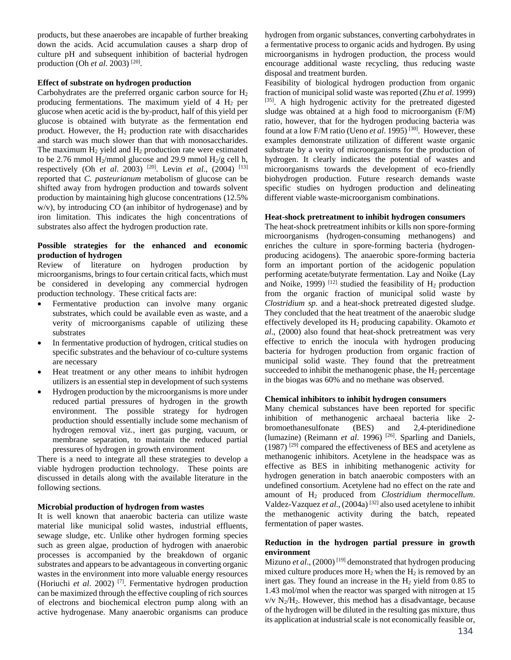products, but these anaerobes are incapable of further breaking down the acids. Acid accumulation causes a sharp drop of culture pH and subsequent inhibition of bacterial hydrogen production (Oh *et al*. 2003) [20].

### **Effect of substrate on hydrogen production**

Carbohydrates are the preferred organic carbon source for  $H_2$ producing fermentations. The maximum yield of  $4 H<sub>2</sub>$  per glucose when acetic acid is the by-product, half of this yield per glucose is obtained with butyrate as the fermentation end product. However, the  $H_2$  production rate with disaccharides and starch was much slower than that with monosaccharides. The maximum  $H_2$  yield and  $H_2$  production rate were estimated to be 2.76 mmol  $H_2$ /mmol glucose and 29.9 mmol  $H_2$ /g cell h, respectively (Oh *et al.* 2003) <sup>[20]</sup>. Levin *et al.*, (2004) <sup>[13]</sup> reported that *C. pasteurianum* metabolism of glucose can be shifted away from hydrogen production and towards solvent production by maintaining high glucose concentrations (12.5% w/v), by introducing CO (an inhibitor of hydrogenase) and by iron limitation. This indicates the high concentrations of substrates also affect the hydrogen production rate.

### **Possible strategies for the enhanced and economic production of hydrogen**

Review of literature on hydrogen production by microorganisms, brings to four certain critical facts, which must be considered in developing any commercial hydrogen production technology. These critical facts are:

- Fermentative production can involve many organic substrates, which could be available even as waste, and a verity of microorganisms capable of utilizing these substrates
- In fermentative production of hydrogen, critical studies on specific substrates and the behaviour of co-culture systems are necessary
- Heat treatment or any other means to inhibit hydrogen utilizers is an essential step in development of such systems
- Hydrogen production by the microorganisms is more under reduced partial pressures of hydrogen in the growth environment. The possible strategy for hydrogen production should essentially include some mechanism of hydrogen removal viz., inert gas purging, vacuum, or membrane separation, to maintain the reduced partial pressures of hydrogen in growth environment

There is a need to integrate all these strategies to develop a viable hydrogen production technology. These points are discussed in details along with the available literature in the following sections.

### **Microbial production of hydrogen from wastes**

It is well known that anaerobic bacteria can utilize waste material like municipal solid wastes, industrial effluents, sewage sludge, etc. Unlike other hydrogen forming species such as green algae, production of hydrogen with anaerobic processes is accompanied by the breakdown of organic substrates and appears to be advantageous in converting organic wastes in the environment into more valuable energy resources (Horiuchi *et al*. 2002) [7]. Fermentative hydrogen production can be maximized through the effective coupling of rich sources of electrons and biochemical electron pump along with an active hydrogenase. Many anaerobic organisms can produce

hydrogen from organic substances, converting carbohydrates in a fermentative process to organic acids and hydrogen. By using microorganisms in hydrogen production, the process would encourage additional waste recycling, thus reducing waste disposal and treatment burden.

Feasibility of biological hydrogen production from organic fraction of municipal solid waste was reported (Zhu *et al*. 1999) [35]. A high hydrogenic activity for the pretreated digested sludge was obtained at a high food to microorganism (F/M) ratio, however, that for the hydrogen producing bacteria was found at a low F/M ratio (Ueno *et al.* 1995)<sup>[30]</sup>. However, these examples demonstrate utilization of different waste organic substrate by a verity of microorganisms for the production of hydrogen. It clearly indicates the potential of wastes and microorganisms towards the development of eco-friendly biohydrogen production. Future research demands waste specific studies on hydrogen production and delineating different viable waste-microorganism combinations.

### **Heat-shock pretreatment to inhibit hydrogen consumers**

The heat-shock pretreatment inhibits or kills non spore-forming microorganisms (hydrogen-consuming methanogens) and enriches the culture in spore-forming bacteria (hydrogenproducing acidogens). The anaerobic spore-forming bacteria form an important portion of the acidogenic population performing acetate/butyrate fermentation. Lay and Noike (Lay and Noike, 1999)  $[12]$  studied the feasibility of  $H_2$  production from the organic fraction of municipal solid waste by *Clostridium sp.* and a heat-shock pretreated digested sludge. They concluded that the heat treatment of the anaerobic sludge effectively developed its H2 producing capability. Okamoto *et al*., (2000) also found that heat-shock pretreatment was very effective to enrich the inocula with hydrogen producing bacteria for hydrogen production from organic fraction of municipal solid waste. They found that the pretreatment succeeded to inhibit the methanogenic phase, the  $H_2$  percentage in the biogas was 60% and no methane was observed.

### **Chemical inhibitors to inhibit hydrogen consumers**

Many chemical substances have been reported for specific inhibition of methanogenic archaeal bacteria like 2 bromoethanesulfonate (BES) and 2,4-pteridinedione (lumazine) (Reimann *et al*. 1996) [26]. Sparling and Daniels, (1987) [29] compared the effectiveness of BES and acetylene as methanogenic inhibitors. Acetylene in the headspace was as effective as BES in inhibiting methanogenic activity for hydrogen generation in batch anaerobic composters with an undefined consortium. Acetylene had no effect on the rate and amount of H2 produced from *Clostridium thermocellum*. Valdez-Vazquez *et al*., (2004a) [32] also used acetylene to inhibit the methanogenic activity during the batch, repeated fermentation of paper wastes.

### **Reduction in the hydrogen partial pressure in growth environment**

Mizuno *et al.*, (2000)<sup>[19]</sup> demonstrated that hydrogen producing mixed culture produces more  $H_2$  when the  $H_2$  is removed by an inert gas. They found an increase in the  $H<sub>2</sub>$  yield from 0.85 to 1.43 mol/mol when the reactor was sparged with nitrogen at 15  $v/v$  N<sub>2</sub>/H<sub>2</sub>. However, this method has a disadvantage, because of the hydrogen will be diluted in the resulting gas mixture, thus its application at industrial scale is not economically feasible or,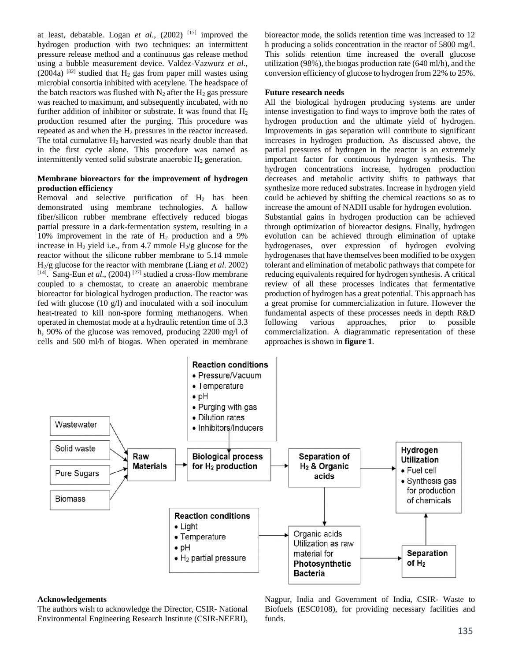at least, debatable. Logan *et al.*,  $(2002)$ <sup>[17]</sup> improved the hydrogen production with two techniques: an intermittent pressure release method and a continuous gas release method using a bubble measurement device. Valdez-Vazwurz *et al*., (2004a)  $^{[32]}$  studied that  $H_2$  gas from paper mill wastes using microbial consortia inhibited with acetylene. The headspace of the batch reactors was flushed with  $N_2$  after the  $H_2$  gas pressure was reached to maximum, and subsequently incubated, with no further addition of inhibitor or substrate. It was found that  $H_2$ production resumed after the purging. This procedure was repeated as and when the  $H_2$  pressures in the reactor increased. The total cumulative  $H_2$  harvested was nearly double than that in the first cycle alone. This procedure was named as intermittently vented solid substrate anaerobic  $H_2$  generation.

# **Membrane bioreactors for the improvement of hydrogen production efficiency**

Removal and selective purification of  $H_2$  has been demonstrated using membrane technologies. A hallow fiber/silicon rubber membrane effectively reduced biogas partial pressure in a dark-fermentation system, resulting in a 10% improvement in the rate of  $H_2$  production and a 9% increase in  $H_2$  yield i.e., from 4.7 mmole  $H_2/g$  glucose for the reactor without the silicone rubber membrane to 5.14 mmole H2/g glucose for the reactor with membrane (Liang *et al*. 2002) [14]. Sang-Eun *et al*., (2004) [27] studied a cross-flow membrane coupled to a chemostat, to create an anaerobic membrane bioreactor for biological hydrogen production. The reactor was fed with glucose (10 g/l) and inoculated with a soil inoculum heat-treated to kill non-spore forming methanogens. When operated in chemostat mode at a hydraulic retention time of 3.3 h, 90% of the glucose was removed, producing 2200 mg/l of cells and 500 ml/h of biogas. When operated in membrane

bioreactor mode, the solids retention time was increased to 12 h producing a solids concentration in the reactor of 5800 mg/l. This solids retention time increased the overall glucose utilization (98%), the biogas production rate (640 ml/h), and the conversion efficiency of glucose to hydrogen from 22% to 25%.

### **Future research needs**

All the biological hydrogen producing systems are under intense investigation to find ways to improve both the rates of hydrogen production and the ultimate yield of hydrogen. Improvements in gas separation will contribute to significant increases in hydrogen production. As discussed above, the partial pressures of hydrogen in the reactor is an extremely important factor for continuous hydrogen synthesis. The hydrogen concentrations increase, hydrogen production decreases and metabolic activity shifts to pathways that synthesize more reduced substrates. Increase in hydrogen yield could be achieved by shifting the chemical reactions so as to increase the amount of NADH usable for hydrogen evolution. Substantial gains in hydrogen production can be achieved through optimization of bioreactor designs. Finally, hydrogen evolution can be achieved through elimination of uptake hydrogenases, over expression of hydrogen evolving hydrogenases that have themselves been modified to be oxygen tolerant and elimination of metabolic pathways that compete for reducing equivalents required for hydrogen synthesis. A critical review of all these processes indicates that fermentative production of hydrogen has a great potential. This approach has a great promise for commercialization in future. However the fundamental aspects of these processes needs in depth R&D following various approaches, prior to possible commercialization. A diagrammatic representation of these approaches is shown in **figure 1**.



### **Acknowledgements**

The authors wish to acknowledge the Director, CSIR- National Environmental Engineering Research Institute (CSIR-NEERI), Nagpur, India and Government of India, CSIR- Waste to Biofuels (ESC0108), for providing necessary facilities and funds.